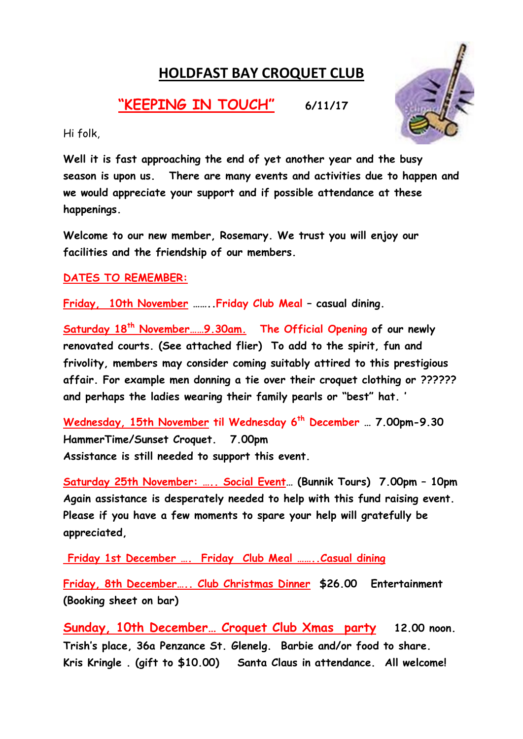## HOLDFAST BAY CROQUET CLUB

## "KEEPING IN TOUCH" 6/11/17



Hi folk,

Well it is fast approaching the end of yet another year and the busy season is upon us. There are many events and activities due to happen and we would appreciate your support and if possible attendance at these happenings.

Welcome to our new member, Rosemary. We trust you will enjoy our facilities and the friendship of our members.

DATES TO REMEMBER:

Friday, 10th November ……..Friday Club Meal – casual dining.

Saturday 18<sup>th</sup> November...... 9.30am. The Official Opening of our newly renovated courts. (See attached flier) To add to the spirit, fun and frivolity, members may consider coming suitably attired to this prestigious affair. For example men donning a tie over their croquet clothing or ?????? and perhaps the ladies wearing their family pearls or "best" hat. '

Wednesday, 15th November til Wednesday 6<sup>th</sup> December ... 7.00pm-9.30 HammerTime/Sunset Croquet. 7.00pm Assistance is still needed to support this event.

Saturday 25th November: ….. Social Event… (Bunnik Tours) 7.00pm – 10pm Again assistance is desperately needed to help with this fund raising event. Please if you have a few moments to spare your help will gratefully be appreciated,

Friday 1st December …. Friday Club Meal ……..Casual dining

Friday, 8th December….. Club Christmas Dinner \$26.00 Entertainment (Booking sheet on bar)

Sunday, 10th December… Croquet Club Xmas party 12.00 noon. Trish's place, 36a Penzance St. Glenelg. Barbie and/or food to share. Kris Kringle . (gift to \$10.00) Santa Claus in attendance. All welcome!